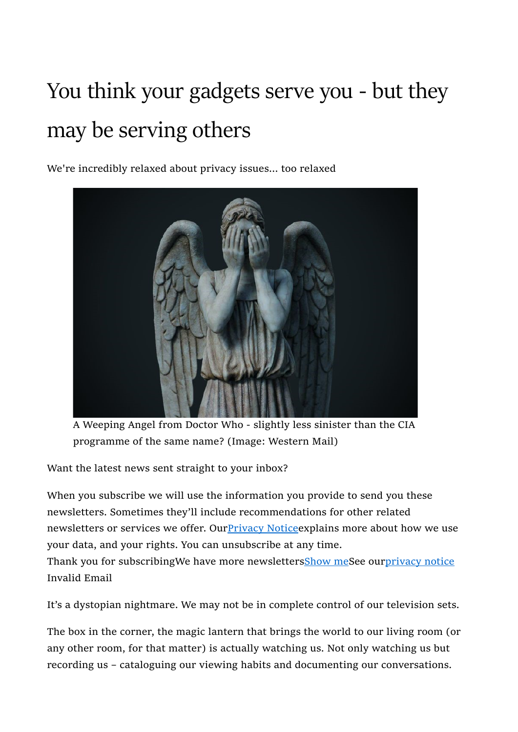## You think your gadgets serve you - but they may be serving others

We're incredibly relaxed about privacy issues... too relaxed



A Weeping Angel from Doctor Who - slightly less sinister than the CIA programme of the same name? (Image: Western Mail)

Want the latest news sent straight to your inbox?

When you subscribe we will use the information you provide to send you these newsletters. Sometimes they'll include recommendations for other related newsletters or services we offer. Our **Privacy Notice** explains more about how we use your data, and your rights. You can unsubscribe at any time. Thank you for subscribingWe have more newslettersShow meSee ourprivacy notice Invalid Email

It's a dystopian nightmare. We may not be in complete control of our television sets.

The box in the corner, the magic lantern that brings the world to our living room (or any other room, for that matter) is actually watching us. Not only watching us but recording us – cataloguing our viewing habits and documenting our conversations.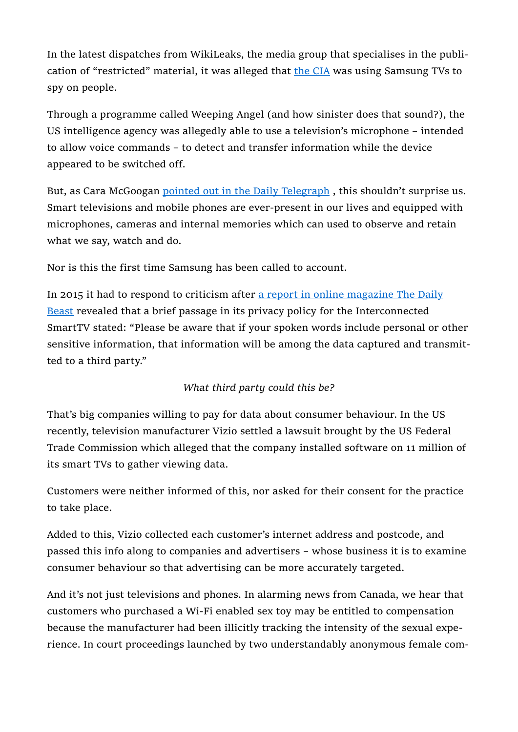In the latest dispatches from WikiLeaks, the media group that specialises in the publication of "restricted" material, it was alleged that the CIA was using Samsung TVs to spy on people.

Through a programme called Weeping Angel (and how sinister does that sound?), the US intelligence agency was allegedly able to use a television's microphone – intended to allow voice commands – to detect and transfer information while the device appeared to be switched off.

But, as Cara McGoogan pointed out in the Daily Telegraph, this shouldn't surprise us. Smart televisions and mobile phones are ever-present in our lives and equipped with microphones, cameras and internal memories which can used to observe and retain what we say, watch and do.

Nor is this the first time Samsung has been called to account.

In 2015 it had to respond to criticism after a report in online magazine The Daily Beast revealed that a brief passage in its privacy policy for the Interconnected SmartTV stated: "Please be aware that if your spoken words include personal or other sensitive information, that information will be among the data captured and transmitted to a third party."

## What third party could this be?

That's big companies willing to pay for data about consumer behaviour. In the US recently, television manufacturer Vizio settled a lawsuit brought by the US Federal Trade Commission which alleged that the company installed software on 11 million of its smart TVs to gather viewing data.

Customers were neither informed of this, nor asked for their consent for the practice to take place.

Added to this, Vizio collected each customer's internet address and postcode, and passed this info along to companies and advertisers – whose business it is to examine consumer behaviour so that advertising can be more accurately targeted.

And it's not just televisions and phones. In alarming news from Canada, we hear that customers who purchased a Wi-Fi enabled sex toy may be entitled to compensation because the manufacturer had been illicitly tracking the intensity of the sexual experience. In court proceedings launched by two understandably anonymous female com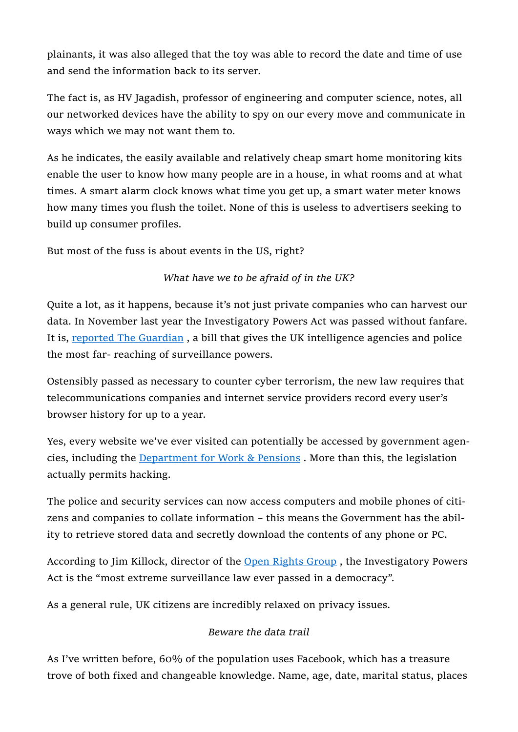plainants, it was also alleged that the toy was able to record the date and time of use and send the information back to its server.

The fact is, as HV Jagadish, professor of engineering and computer science, notes, all our networked devices have the ability to spy on our every move and communicate in ways which we may not want them to.

As he indicates, the easily available and relatively cheap smart home monitoring kits enable the user to know how many people are in a house, in what rooms and at what times. A smart alarm clock knows what time you get up, a smart water meter knows how many times you flush the toilet. None of this is useless to advertisers seeking to build up consumer profiles.

But most of the fuss is about events in the US, right?

## What have we to be afraid of in the UK?

Quite a lot, as it happens, because it's not just private companies who can harvest our data. In November last year the Investigatory Powers Act was passed without fanfare. It is, reported The Guardian , a bill that gives the UK intelligence agencies and police the most far- reaching of surveillance powers.

Ostensibly passed as necessary to counter cyber terrorism, the new law requires that telecommunications companies and internet service providers record every user's browser history for up to a year.

Yes, every website we've ever visited can potentially be accessed by government agencies, including the Department for Work & Pensions . More than this, the legislation actually permits hacking.

The police and security services can now access computers and mobile phones of citizens and companies to collate information – this means the Government has the ability to retrieve stored data and secretly download the contents of any phone or PC.

According to Jim Killock, director of the Open Rights Group , the Investigatory Powers Act is the "most extreme surveillance law ever passed in a democracy".

As a general rule, UK citizens are incredibly relaxed on privacy issues.

## Beware the data trail

As I've written before, 60% of the population uses Facebook, which has a treasure trove of both fixed and changeable knowledge. Name, age, date, marital status, places